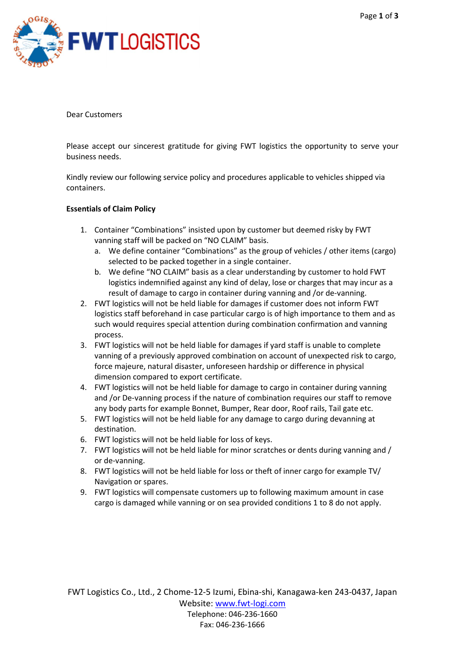

Dear Customers

Please accept our sincerest gratitude for giving FWT logistics the opportunity to serve your business needs.

Kindly review our following service policy and procedures applicable to vehicles shipped via containers.

## Essentials of Claim Policy

- 1. Container "Combinations" insisted upon by customer but deemed risky by FWT vanning staff will be packed on "NO CLAIM" basis.
	- a. We define container "Combinations" as the group of vehicles / other items (cargo) selected to be packed together in a single container.
	- b. We define "NO CLAIM" basis as a clear understanding by customer to hold FWT logistics indemnified against any kind of delay, lose or charges that may incur as a result of damage to cargo in container during vanning and /or de-vanning.
- 2. FWT logistics will not be held liable for damages if customer does not inform FWT logistics staff beforehand in case particular cargo is of high importance to them and as such would requires special attention during combination confirmation and vanning process.
- 3. FWT logistics will not be held liable for damages if yard staff is unable to complete vanning of a previously approved combination on account of unexpected risk to cargo, force majeure, natural disaster, unforeseen hardship or difference in physical dimension compared to export certificate.
- 4. FWT logistics will not be held liable for damage to cargo in container during vanning and /or De-vanning process if the nature of combination requires our staff to remove any body parts for example Bonnet, Bumper, Rear door, Roof rails, Tail gate etc.
- 5. FWT logistics will not be held liable for any damage to cargo during devanning at destination.
- 6. FWT logistics will not be held liable for loss of keys.
- 7. FWT logistics will not be held liable for minor scratches or dents during vanning and / or de-vanning.
- 8. FWT logistics will not be held liable for loss or theft of inner cargo for example TV/ Navigation or spares.
- 9. FWT logistics will compensate customers up to following maximum amount in case cargo is damaged while vanning or on sea provided conditions 1 to 8 do not apply.

FWT Logistics Co., Ltd., 2 Chome-12-5 Izumi, Ebina-shi, Kanagawa-ken 243-0437, Japan Website: www.fwt-logi.com Telephone: 046-236-1660 Fax: 046-236-1666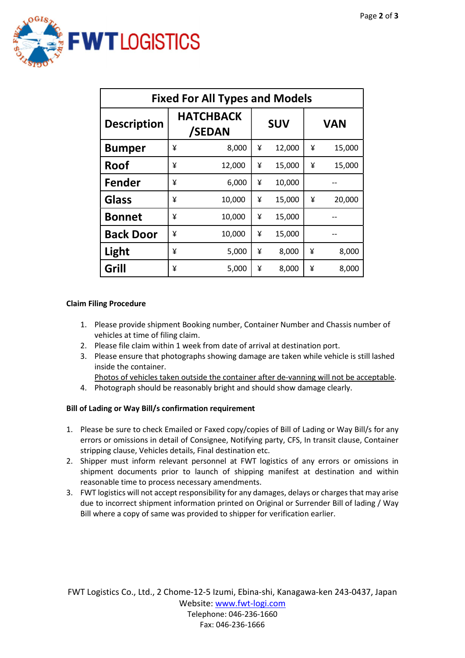

| <b>Fixed For All Types and Models</b> |   |                            |            |        |            |        |
|---------------------------------------|---|----------------------------|------------|--------|------------|--------|
| <b>Description</b>                    |   | <b>HATCHBACK</b><br>/SEDAN | <b>SUV</b> |        | <b>VAN</b> |        |
| <b>Bumper</b>                         | ¥ | 8,000                      | ¥          | 12,000 | ¥          | 15,000 |
| <b>Roof</b>                           | ¥ | 12,000                     | ¥          | 15,000 | ¥          | 15,000 |
| Fender                                | ¥ | 6,000                      | ¥          | 10,000 |            |        |
| <b>Glass</b>                          | ¥ | 10,000                     | ¥          | 15,000 | ¥          | 20,000 |
| <b>Bonnet</b>                         | ¥ | 10,000                     | ¥          | 15,000 |            |        |
| <b>Back Door</b>                      | ¥ | 10,000                     | ¥          | 15,000 |            |        |
| Light                                 | ¥ | 5,000                      | ¥          | 8,000  | ¥          | 8,000  |
| Grill                                 | ¥ | 5,000                      | ¥          | 8,000  | ¥          | 8,000  |

# Claim Filing Procedure

- 1. Please provide shipment Booking number, Container Number and Chassis number of vehicles at time of filing claim.
- 2. Please file claim within 1 week from date of arrival at destination port.
- 3. Please ensure that photographs showing damage are taken while vehicle is still lashed inside the container.

Photos of vehicles taken outside the container after de-vanning will not be acceptable.

4. Photograph should be reasonably bright and should show damage clearly.

# Bill of Lading or Way Bill/s confirmation requirement

- 1. Please be sure to check Emailed or Faxed copy/copies of Bill of Lading or Way Bill/s for any errors or omissions in detail of Consignee, Notifying party, CFS, In transit clause, Container stripping clause, Vehicles details, Final destination etc.
- 2. Shipper must inform relevant personnel at FWT logistics of any errors or omissions in shipment documents prior to launch of shipping manifest at destination and within reasonable time to process necessary amendments.
- 3. FWT logistics will not accept responsibility for any damages, delays or charges that may arise due to incorrect shipment information printed on Original or Surrender Bill of lading / Way Bill where a copy of same was provided to shipper for verification earlier.

FWT Logistics Co., Ltd., 2 Chome-12-5 Izumi, Ebina-shi, Kanagawa-ken 243-0437, Japan Website: www.fwt-logi.com Telephone: 046-236-1660 Fax: 046-236-1666